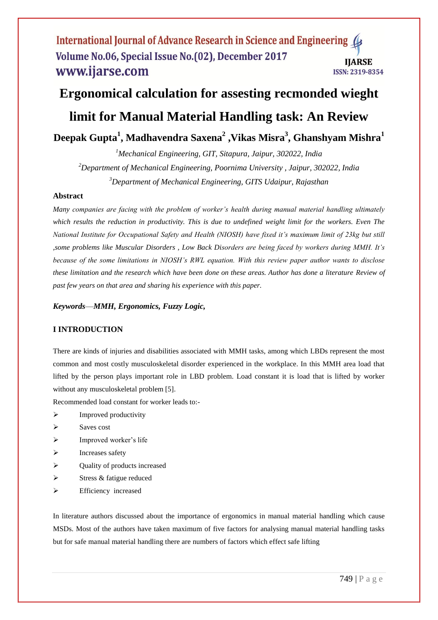# **Ergonomical calculation for assesting recmonded wieght**

# **limit for Manual Material Handling task: An Review**

# **Deepak Gupta<sup>1</sup> , Madhavendra Saxena<sup>2</sup> ,Vikas Misra<sup>3</sup> , Ghanshyam Mishra<sup>1</sup>**

*<sup>1</sup>Mechanical Engineering, GIT, Sitapura, Jaipur, 302022, India <sup>2</sup>Department of Mechanical Engineering, Poornima University , Jaipur, 302022, India <sup>3</sup>Department of Mechanical Engineering, GITS Udaipur, Rajasthan*

#### **Abstract**

*Many companies are facing with the problem of worker's health during manual material handling ultimately which results the reduction in productivity. This is due to undefined weight limit for the workers. Even The National Institute for Occupational Safety and Health (NIOSH) have fixed it's maximum limit of 23kg but still ,some problems like Muscular Disorders , Low Back Disorders are being faced by workers during MMH. It's because of the some limitations in NIOSH's RWL equation. With this review paper author wants to disclose these limitation and the research which have been done on these areas. Author has done a literature Review of past few years on that area and sharing his experience with this paper.*

*Keywords*—*MMH, Ergonomics, Fuzzy Logic,*

## **I INTRODUCTION**

There are kinds of injuries and disabilities associated with MMH tasks, among which LBDs represent the most common and most costly musculoskeletal disorder experienced in the workplace. In this MMH area load that lifted by the person plays important role in LBD problem. Load constant it is load that is lifted by worker without any musculoskeletal problem [5].

Recommended load constant for worker leads to:-

- $\triangleright$  Improved productivity
- $\triangleright$  Saves cost
- $\triangleright$  Improved worker's life
- $\triangleright$  Increases safety
- Quality of products increased
- $\triangleright$  Stress & fatigue reduced
- Efficiency increased

In literature authors discussed about the importance of ergonomics in manual material handling which cause MSDs. Most of the authors have taken maximum of five factors for analysing manual material handling tasks but for safe manual material handling there are numbers of factors which effect safe lifting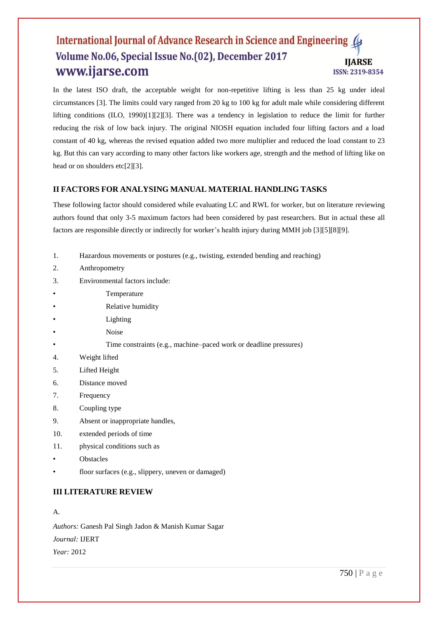In the latest ISO draft, the acceptable weight for non-repetitive lifting is less than 25 kg under ideal circumstances [3]. The limits could vary ranged from 20 kg to 100 kg for adult male while considering different lifting conditions (ILO, 1990)[1][2][3]. There was a tendency in legislation to reduce the limit for further reducing the risk of low back injury. The original NIOSH equation included four lifting factors and a load constant of 40 kg, whereas the revised equation added two more multiplier and reduced the load constant to 23 kg. But this can vary according to many other factors like workers age, strength and the method of lifting like on head or on shoulders etc[2][3].

### **II FACTORS FOR ANALYSING MANUAL MATERIAL HANDLING TASKS**

These following factor should considered while evaluating LC and RWL for worker, but on literature reviewing authors found that only 3-5 maximum factors had been considered by past researchers. But in actual these all factors are responsible directly or indirectly for worker's health injury during MMH job [3][5][8][9].

- 1. Hazardous movements or postures (e.g., twisting, extended bending and reaching)
- 2. Anthropometry
- 3. Environmental factors include:
- **Temperature**
- Relative humidity
- **Lighting**
- Noise
- Time constraints (e.g., machine–paced work or deadline pressures)
- 4. Weight lifted
- 5. Lifted Height
- 6. Distance moved
- 7. Frequency
- 8. Coupling type
- 9. Absent or inappropriate handles,
- 10. extended periods of time
- 11. physical conditions such as
- **Obstacles**
- floor surfaces (e.g., slippery, uneven or damaged)

#### **III LITERATURE REVIEW**

#### A.

*Authors:* Ganesh Pal Singh Jadon & Manish Kumar Sagar *Journal:* IJERT *Year:* 2012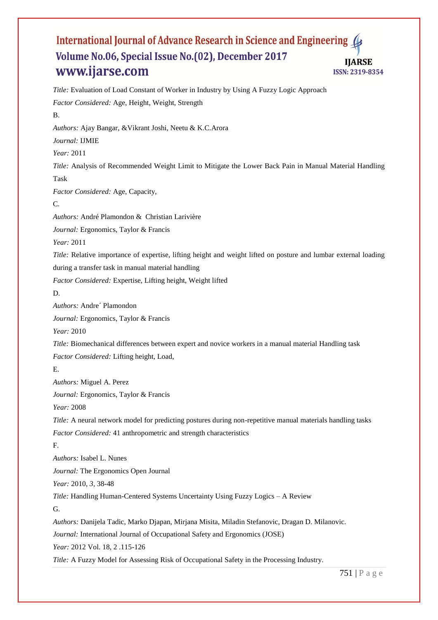*Title:* Evaluation of Load Constant of Worker in Industry by Using A Fuzzy Logic Approach *Factor Considered:* Age, Height, Weight, Strength B. *Authors:* Ajay Bangar, &Vikrant Joshi, Neetu & K.C.Arora *Journal:* IJMIE *Year:* 2011 *Title:* Analysis of Recommended Weight Limit to Mitigate the Lower Back Pain in Manual Material Handling Task *Factor Considered:* Age, Capacity, C. *Authors:* André Plamondon & Christian Larivière *Journal:* Ergonomics, Taylor & Francis *Year:* 2011 *Title:* Relative importance of expertise, lifting height and weight lifted on posture and lumbar external loading during a transfer task in manual material handling *Factor Considered:* Expertise, Lifting height, Weight lifted D. *Authors:* Andre´ Plamondon *Journal:* Ergonomics, Taylor & Francis *Year:* 2010 *Title:* Biomechanical differences between expert and novice workers in a manual material Handling task *Factor Considered:* Lifting height, Load, E. *Authors:* Miguel A. Perez *Journal:* Ergonomics, Taylor & Francis *Year:* 2008 *Title:* A neural network model for predicting postures during non-repetitive manual materials handling tasks *Factor Considered:* 41 anthropometric and strength characteristics F. *Authors:* Isabel L. Nunes *Journal:* The Ergonomics Open Journal *Year:* 2010, *3,* 38-48 *Title:* Handling Human-Centered Systems Uncertainty Using Fuzzy Logics – A Review G. *Authors:* Danijela Tadic, Marko Djapan, Mirjana Misita, Miladin Stefanovic, Dragan D. Milanovic. *Journal:* International Journal of Occupational Safety and Ergonomics (JOSE) *Year:* 2012 Vol. 18, 2 .115-126 *Title:* A Fuzzy Model for Assessing Risk of Occupational Safety in the Processing Industry.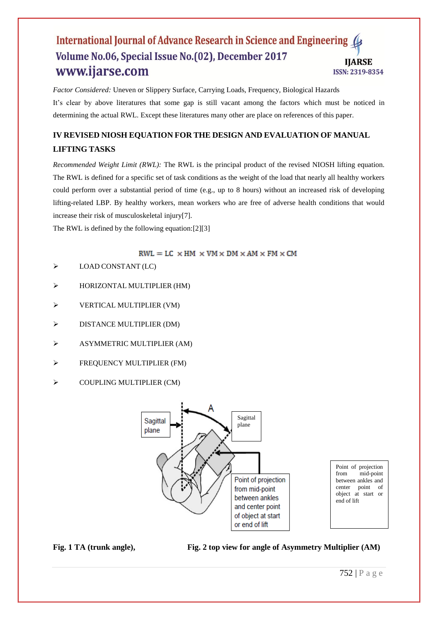*Factor Considered:* Uneven or Slippery Surface, Carrying Loads, Frequency, Biological Hazards It's clear by above literatures that some gap is still vacant among the factors which must be noticed in determining the actual RWL. Except these literatures many other are place on references of this paper.

## **IV REVISED NIOSH EQUATION FOR THE DESIGN AND EVALUATION OF MANUAL LIFTING TASKS**

*Recommended Weight Limit (RWL):* The RWL is the principal product of the revised NIOSH lifting equation. The RWL is defined for a specific set of task conditions as the weight of the load that nearly all healthy workers could perform over a substantial period of time (e.g., up to 8 hours) without an increased risk of developing lifting-related LBP. By healthy workers, mean workers who are free of adverse health conditions that would increase their risk of musculoskeletal injury[7].

The RWL is defined by the following equation:[2][3]

 $RWL = LC \times HM \times VM \times DM \times AM \times FM \times CM$ 

- $\triangleright$  LOAD CONSTANT (LC)
- HORIZONTAL MULTIPLIER (HM)
- $\triangleright$  VERTICAL MULTIPLIER (VM)
- $\triangleright$  DISTANCE MULTIPLIER (DM)
- ASYMMETRIC MULTIPLIER (AM)
- **FREQUENCY MULTIPLIER (FM)**
- $\triangleright$  COUPLING MULTIPLIER (CM)



Point of projection from mid-point between ankles and center point of object at start or end of lift

**Fig. 1 TA (trunk angle), Fig. 2 top view for angle of Asymmetry Multiplier (AM)**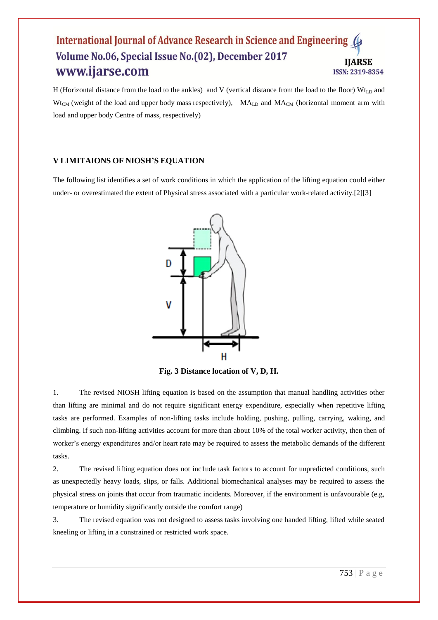H (Horizontal distance from the load to the ankles) and V (vertical distance from the load to the floor)  $Wt_{LD}$  and  $W_{\text{t}_{\text{CM}}}$  (weight of the load and upper body mass respectively),  $MA_{\text{LD}}$  and  $MA_{\text{CM}}$  (horizontal moment arm with load and upper body Centre of mass, respectively)

### **V LIMITAIONS OF NIOSH'S EQUATION**

The following list identifies a set of work conditions in which the application of the lifting equation could either under- or overestimated the extent of Physical stress associated with a particular work-related activity.[2][3]



**Fig. 3 Distance location of V, D, H.**

1. The revised NIOSH lifting equation is based on the assumption that manual handling activities other than lifting are minimal and do not require significant energy expenditure, especially when repetitive lifting tasks are performed. Examples of non-lifting tasks include holding, pushing, pulling, carrying, waking, and climbing. If such non-lifting activities account for more than about 10% of the total worker activity, then then of worker's energy expenditures and/or heart rate may be required to assess the metabolic demands of the different tasks.

2. The revised lifting equation does not inc1ude task factors to account for unpredicted conditions, such as unexpectedly heavy loads, slips, or falls. Additional biomechanical analyses may be required to assess the physical stress on joints that occur from traumatic incidents. Moreover, if the environment is unfavourable (e.g, temperature or humidity significantly outside the comfort range)

3. The revised equation was not designed to assess tasks involving one handed lifting, lifted while seated kneeling or lifting in a constrained or restricted work space.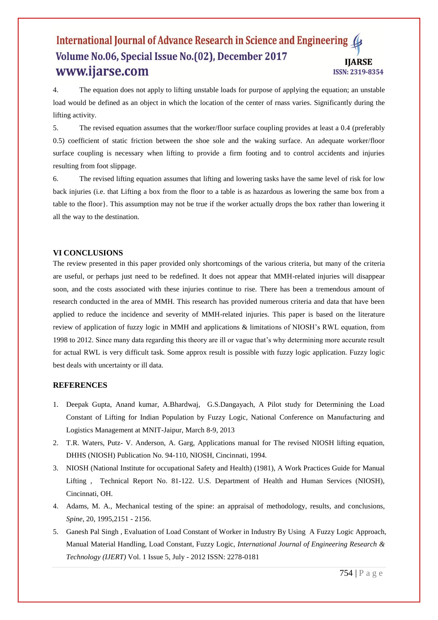4. The equation does not apply to lifting unstable loads for purpose of applying the equation; an unstable load would be defined as an object in which the location of the center of rnass varies. Significantly during the lifting activity.

5. The revised equation assumes that the worker/floor surface coupling provides at least a 0.4 (preferably 0.5) coefficient of static friction between the shoe sole and the waking surface. An adequate worker/floor surface coupling is necessary when lifting to provide a firm footing and to control accidents and injuries resulting from foot slippage.

6. The revised lifting equation assumes that lifting and lowering tasks have the same level of risk for low back injuries (i.e. that Lifting a box from the floor to a table is as hazardous as lowering the same box from a table to the floor}. This assumption may not be true if the worker actually drops the box rather than lowering it all the way to the destination.

#### **VI CONCLUSIONS**

The review presented in this paper provided only shortcomings of the various criteria, but many of the criteria are useful, or perhaps just need to be redefined. It does not appear that MMH-related injuries will disappear soon, and the costs associated with these injuries continue to rise. There has been a tremendous amount of research conducted in the area of MMH. This research has provided numerous criteria and data that have been applied to reduce the incidence and severity of MMH-related injuries. This paper is based on the literature review of application of fuzzy logic in MMH and applications & limitations of NIOSH's RWL equation, from 1998 to 2012. Since many data regarding this theory are ill or vague that's why determining more accurate result for actual RWL is very difficult task. Some approx result is possible with fuzzy logic application. Fuzzy logic best deals with uncertainty or ill data.

#### **REFERENCES**

- 1. Deepak Gupta, Anand kumar, A.Bhardwaj, G.S.Dangayach, A Pilot study for Determining the Load Constant of Lifting for Indian Population by Fuzzy Logic, National Conference on Manufacturing and Logistics Management at MNIT-Jaipur, March 8-9, 2013
- 2. T.R. Waters, Putz- V. Anderson, A. Garg, Applications manual for The revised NIOSH lifting equation, DHHS (NIOSH) Publication No. 94-110, NIOSH, Cincinnati, 1994.
- 3. NIOSH (National Institute for occupational Safety and Health) (1981), A Work Practices Guide for Manual Lifting , Technical Report No. 81-122. U.S. Department of Health and Human Services (NIOSH), Cincinnati, OH.
- 4. Adams, M. A., Mechanical testing of the spine: an appraisal of methodology, results, and conclusions, *Spine*, 20, 1995,2151 - 2156.
- 5. Ganesh Pal Singh , Evaluation of Load Constant of Worker in Industry By Using A Fuzzy Logic Approach, Manual Material Handling, Load Constant, Fuzzy Logic, *International Journal of Engineering Research & Technology (IJERT)* Vol. 1 Issue 5, July - 2012 ISSN: 2278-0181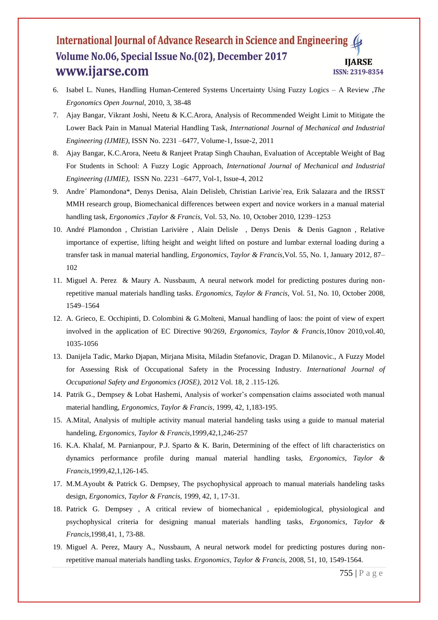- 6. Isabel L. Nunes, Handling Human-Centered Systems Uncertainty Using Fuzzy Logics A Review ,*The Ergonomics Open Journal,* 2010, 3, 38-48
- 7. Ajay Bangar, Vikrant Joshi, Neetu & K.C.Arora, Analysis of Recommended Weight Limit to Mitigate the Lower Back Pain in Manual Material Handling Task, *International Journal of Mechanical and Industrial Engineering (IJMIE)*, ISSN No. 2231 –6477, Volume-1, Issue-2, 2011
- 8. Ajay Bangar, K.C.Arora, Neetu & Ranjeet Pratap Singh Chauhan, Evaluation of Acceptable Weight of Bag For Students in School: A Fuzzy Logic Approach, *International Journal of Mechanical and Industrial Engineering (IJMIE),* ISSN No. 2231 –6477, Vol-1, Issue-4, 2012
- 9. Andre´ Plamondona\*, Denys Denisa, Alain Delisleb, Christian Larivie`rea, Erik Salazara and the IRSST MMH research group, Biomechanical differences between expert and novice workers in a manual material handling task*, Ergonomics ,Taylor & Francis,* Vol. 53, No. 10, October 2010, 1239–1253
- 10. André Plamondon , Christian Larivière , Alain Delisle , Denys Denis & Denis Gagnon , Relative importance of expertise, lifting height and weight lifted on posture and lumbar external loading during a transfer task in manual material handling, *Ergonomics, Taylor & Francis,*Vol. 55, No. 1, January 2012, 87– 102
- 11. Miguel A. Perez & Maury A. Nussbaum, A neural network model for predicting postures during nonrepetitive manual materials handling tasks. *Ergonomics, Taylor & Francis,* Vol. 51, No. 10, October 2008, 1549–1564
- 12. A. Grieco, E. Occhipinti, D. Colombini & G.Molteni, Manual handling of laos: the point of view of expert involved in the application of EC Directive 90/269, *Ergonomics, Taylor & Francis,*10nov 2010,vol.40, 1035-1056
- 13. Danijela Tadic, Marko Djapan, Mirjana Misita, Miladin Stefanovic, Dragan D. Milanovic., A Fuzzy Model for Assessing Risk of Occupational Safety in the Processing Industry. *International Journal of Occupational Safety and Ergonomics (JOSE),* 2012 Vol. 18, 2 .115-126.
- 14. Patrik G., Dempsey & Lobat Hashemi, Analysis of worker's compensation claims associated woth manual material handling, *Ergonomics, Taylor & Francis,* 1999, 42, 1,183-195.
- 15. A.Mital, Analysis of multiple activity manual material handeling tasks using a guide to manual material handeling, *Ergonomics, Taylor & Francis,*1999,42,1,246-257
- 16. K.A. Khalaf, M. Parnianpour, P.J. Sparto & K. Barin, Determining of the effect of lift characteristics on dynamics performance profile during manual material handling tasks, *Ergonomics, Taylor & Francis,*1999,42,1,126-145.
- 17. M.M.Ayoubt & Patrick G. Dempsey, The psychophysical approach to manual materials handeling tasks design, *Ergonomics, Taylor & Francis,* 1999, 42, 1, 17-31.
- 18. Patrick G. Dempsey , A critical review of biomechanical , epidemiological, physiological and psychophysical criteria for designing manual materials handling tasks, *Ergonomics, Taylor & Francis,*1998,41, 1, 73-88.
- 19. Miguel A. Perez, Maury A., Nussbaum, A neural network model for predicting postures during nonrepetitive manual materials handling tasks. *Ergonomics, Taylor & Francis,* 2008, 51, 10, 1549-1564.